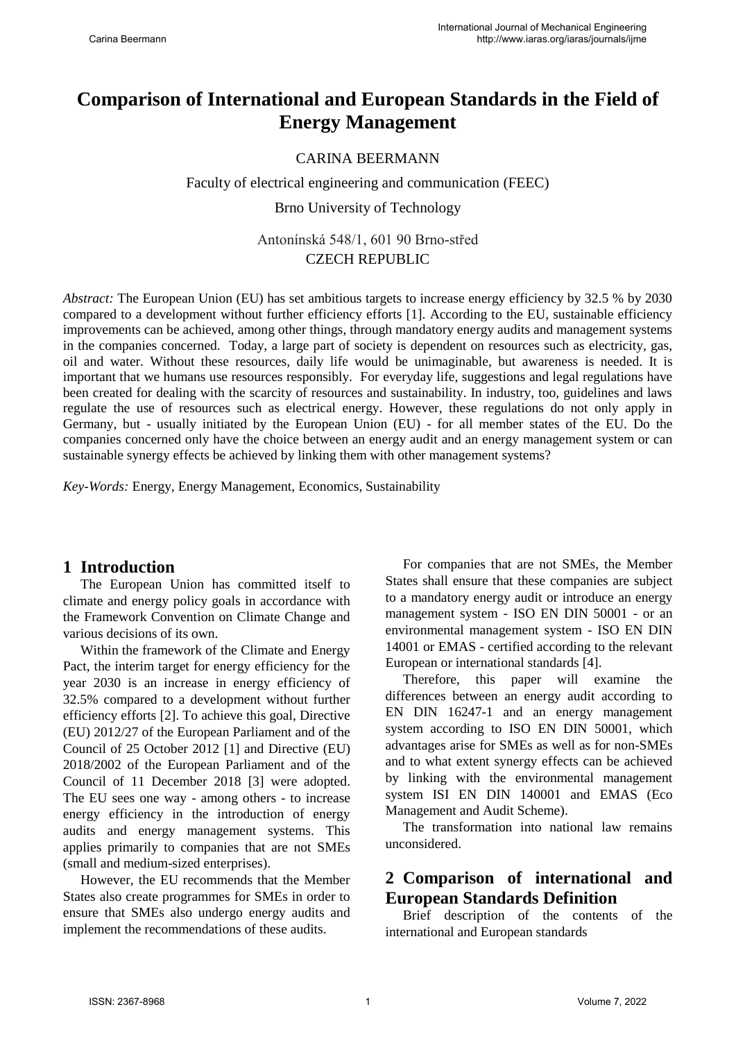# **Comparison of International and European Standards in the Field of Energy Management**

### CARINA BEERMANN

Faculty of electrical engineering and communication (FEEC)

### Brno University of Technology

### Antonínská 548/1, 601 90 Brno-střed CZECH REPUBLIC

*Abstract:* The European Union (EU) has set ambitious targets to increase energy efficiency by 32.5 % by 2030 compared to a development without further efficiency efforts [1]. According to the EU, sustainable efficiency improvements can be achieved, among other things, through mandatory energy audits and management systems in the companies concerned. Today, a large part of society is dependent on resources such as electricity, gas, oil and water. Without these resources, daily life would be unimaginable, but awareness is needed. It is important that we humans use resources responsibly. For everyday life, suggestions and legal regulations have been created for dealing with the scarcity of resources and sustainability. In industry, too, guidelines and laws regulate the use of resources such as electrical energy. However, these regulations do not only apply in Germany, but - usually initiated by the European Union (EU) - for all member states of the EU. Do the companies concerned only have the choice between an energy audit and an energy management system or can sustainable synergy effects be achieved by linking them with other management systems?

*Key-Words:* Energy, Energy Management, Economics, Sustainability

# **1 Introduction**

The European Union has committed itself to climate and energy policy goals in accordance with the Framework Convention on Climate Change and various decisions of its own.

Within the framework of the Climate and Energy Pact, the interim target for energy efficiency for the year 2030 is an increase in energy efficiency of 32.5% compared to a development without further efficiency efforts [2]. To achieve this goal, Directive (EU) 2012/27 of the European Parliament and of the Council of 25 October 2012 [1] and Directive (EU) 2018/2002 of the European Parliament and of the Council of 11 December 2018 [3] were adopted. The EU sees one way - among others - to increase energy efficiency in the introduction of energy audits and energy management systems. This applies primarily to companies that are not SMEs (small and medium-sized enterprises).

However, the EU recommends that the Member States also create programmes for SMEs in order to ensure that SMEs also undergo energy audits and implement the recommendations of these audits.

For companies that are not SMEs, the Member States shall ensure that these companies are subject to a mandatory energy audit or introduce an energy management system - ISO EN DIN 50001 - or an environmental management system - ISO EN DIN 14001 or EMAS - certified according to the relevant European or international standards [4].

Therefore, this paper will examine the differences between an energy audit according to EN DIN 16247-1 and an energy management system according to ISO EN DIN 50001, which advantages arise for SMEs as well as for non-SMEs and to what extent synergy effects can be achieved by linking with the environmental management system ISI EN DIN 140001 and EMAS (Eco Management and Audit Scheme).

The transformation into national law remains unconsidered.

# **2 Comparison of international and European Standards Definition**

Brief description of the contents of the international and European standards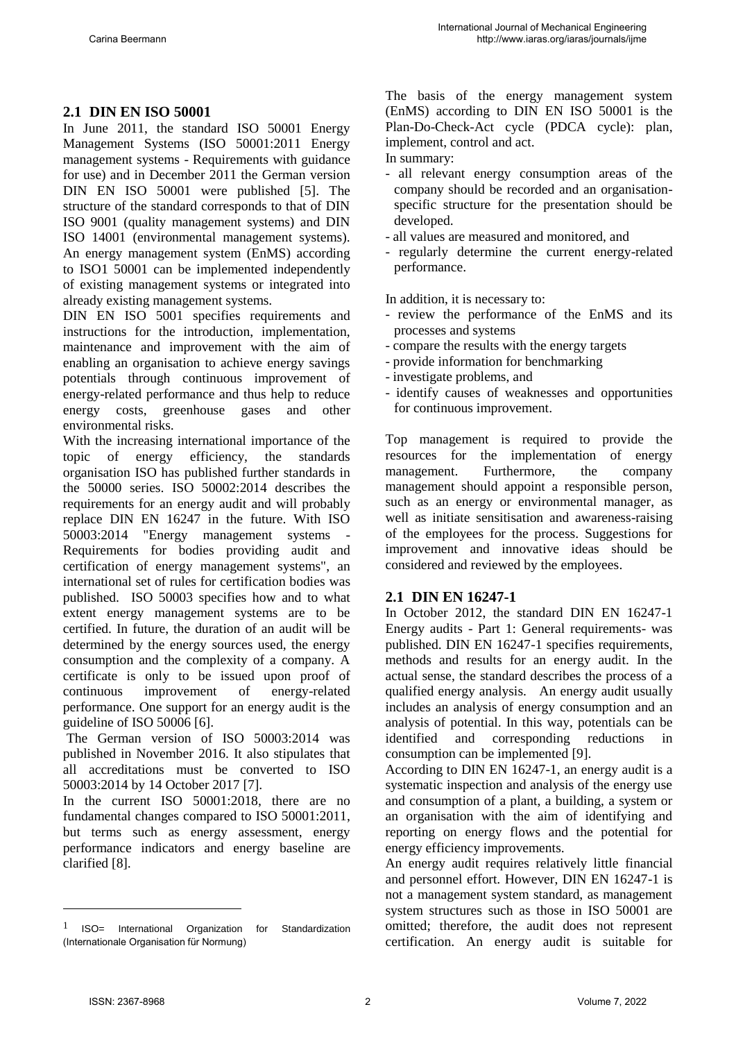### **2.1 DIN EN ISO 50001**

In June 2011, the standard ISO 50001 Energy Management Systems (ISO 50001:2011 Energy management systems - Requirements with guidance for use) and in December 2011 the German version DIN EN ISO 50001 were published [5]. The structure of the standard corresponds to that of DIN ISO 9001 (quality management systems) and DIN ISO 14001 (environmental management systems). An energy management system (EnMS) according to ISO1 50001 can be implemented independently of existing management systems or integrated into already existing management systems.

DIN EN ISO 5001 specifies requirements and instructions for the introduction, implementation, maintenance and improvement with the aim of enabling an organisation to achieve energy savings potentials through continuous improvement of energy-related performance and thus help to reduce energy costs, greenhouse gases and other environmental risks.

With the increasing international importance of the topic of energy efficiency, the standards organisation ISO has published further standards in the 50000 series. ISO 50002:2014 describes the requirements for an energy audit and will probably replace DIN EN 16247 in the future. With ISO 50003:2014 "Energy management systems - Requirements for bodies providing audit and certification of energy management systems", an international set of rules for certification bodies was published. ISO 50003 specifies how and to what extent energy management systems are to be certified. In future, the duration of an audit will be determined by the energy sources used, the energy consumption and the complexity of a company. A certificate is only to be issued upon proof of continuous improvement of energy-related performance. One support for an energy audit is the guideline of ISO 50006 [6].

The German version of ISO 50003:2014 was published in November 2016. It also stipulates that all accreditations must be converted to ISO 50003:2014 by 14 October 2017 [7].

In the current ISO 50001:2018, there are no fundamental changes compared to ISO 50001:2011, but terms such as energy assessment, energy performance indicators and energy baseline are clarified [8].

The basis of the energy management system (EnMS) according to DIN EN ISO 50001 is the Plan-Do-Check-Act cycle (PDCA cycle): plan, implement, control and act.

In summary:

- all relevant energy consumption areas of the company should be recorded and an organisationspecific structure for the presentation should be developed.
- all values are measured and monitored, and
- regularly determine the current energy-related performance.

In addition, it is necessary to:

- review the performance of the EnMS and its processes and systems
- compare the results with the energy targets
- provide information for benchmarking
- investigate problems, and
- identify causes of weaknesses and opportunities for continuous improvement.

Top management is required to provide the resources for the implementation of energy management. Furthermore, the company management should appoint a responsible person, such as an energy or environmental manager, as well as initiate sensitisation and awareness-raising of the employees for the process. Suggestions for improvement and innovative ideas should be considered and reviewed by the employees.

# **2.1 DIN EN 16247-1**

In October 2012, the standard DIN EN 16247-1 Energy audits - Part 1: General requirements- was published. DIN EN 16247-1 specifies requirements, methods and results for an energy audit. In the actual sense, the standard describes the process of a qualified energy analysis. An energy audit usually includes an analysis of energy consumption and an analysis of potential. In this way, potentials can be identified and corresponding reductions consumption can be implemented [9].

According to DIN EN 16247-1, an energy audit is a systematic inspection and analysis of the energy use and consumption of a plant, a building, a system or an organisation with the aim of identifying and reporting on energy flows and the potential for energy efficiency improvements.

An energy audit requires relatively little financial and personnel effort. However, DIN EN 16247-1 is not a management system standard, as management system structures such as those in ISO 50001 are omitted; therefore, the audit does not represent certification. An energy audit is suitable for

1

 $1$  ISO= International Organization for Standardization (Internationale Organisation für Normung)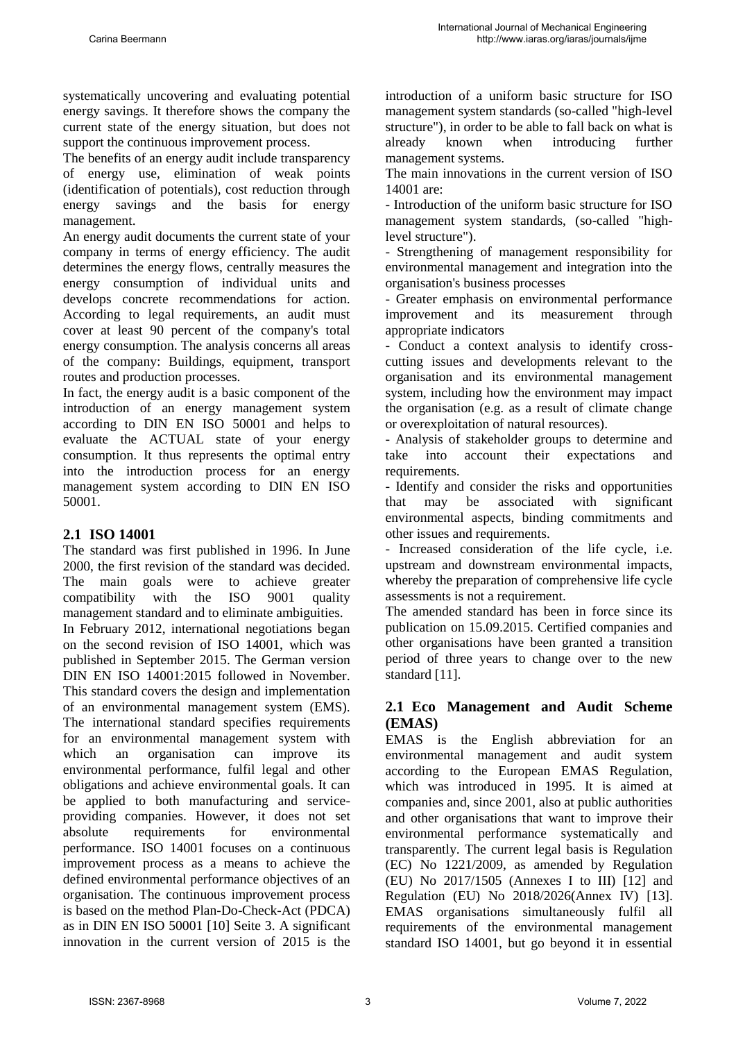systematically uncovering and evaluating potential energy savings. It therefore shows the company the current state of the energy situation, but does not support the continuous improvement process.

The benefits of an energy audit include transparency of energy use, elimination of weak points (identification of potentials), cost reduction through energy savings and the basis for energy management.

An energy audit documents the current state of your company in terms of energy efficiency. The audit determines the energy flows, centrally measures the energy consumption of individual units and develops concrete recommendations for action. According to legal requirements, an audit must cover at least 90 percent of the company's total energy consumption. The analysis concerns all areas of the company: Buildings, equipment, transport routes and production processes.

In fact, the energy audit is a basic component of the introduction of an energy management system according to DIN EN ISO 50001 and helps to evaluate the ACTUAL state of your energy consumption. It thus represents the optimal entry into the introduction process for an energy management system according to DIN EN ISO 50001.

### **2.1 ISO 14001**

The standard was first published in 1996. In June 2000, the first revision of the standard was decided. The main goals were to achieve greater compatibility with the ISO 9001 quality management standard and to eliminate ambiguities.

In February 2012, international negotiations began on the second revision of ISO 14001, which was published in September 2015. The German version DIN EN ISO 14001:2015 followed in November. This standard covers the design and implementation of an environmental management system (EMS). The international standard specifies requirements for an environmental management system with which an organisation can improve its environmental performance, fulfil legal and other obligations and achieve environmental goals. It can be applied to both manufacturing and serviceproviding companies. However, it does not set absolute requirements for environmental performance. ISO 14001 focuses on a continuous improvement process as a means to achieve the defined environmental performance objectives of an organisation. The continuous improvement process is based on the method Plan-Do-Check-Act (PDCA) as in DIN EN ISO 50001 [10] Seite 3. A significant innovation in the current version of 2015 is the introduction of a uniform basic structure for ISO management system standards (so-called "high-level structure"), in order to be able to fall back on what is already known when introducing further management systems.

The main innovations in the current version of ISO 14001 are:

- Introduction of the uniform basic structure for ISO management system standards, (so-called "highlevel structure").

- Strengthening of management responsibility for environmental management and integration into the organisation's business processes

- Greater emphasis on environmental performance improvement and its measurement through appropriate indicators

- Conduct a context analysis to identify crosscutting issues and developments relevant to the organisation and its environmental management system, including how the environment may impact the organisation (e.g. as a result of climate change or overexploitation of natural resources).

- Analysis of stakeholder groups to determine and take into account their expectations and requirements.

- Identify and consider the risks and opportunities that may be associated with significant environmental aspects, binding commitments and other issues and requirements.

- Increased consideration of the life cycle, i.e. upstream and downstream environmental impacts, whereby the preparation of comprehensive life cycle assessments is not a requirement.

The amended standard has been in force since its publication on 15.09.2015. Certified companies and other organisations have been granted a transition period of three years to change over to the new standard [11].

### **2.1 Eco Management and Audit Scheme (EMAS)**

EMAS is the English abbreviation for an environmental management and audit system according to the European EMAS Regulation, which was introduced in 1995. It is aimed at companies and, since 2001, also at public authorities and other organisations that want to improve their environmental performance systematically and transparently. The current legal basis is Regulation (EC) No 1221/2009, as amended by Regulation (EU) No 2017/1505 (Annexes I to III) [12] and Regulation (EU) No 2018/2026(Annex IV) [13]. EMAS organisations simultaneously fulfil all requirements of the environmental management standard ISO 14001, but go beyond it in essential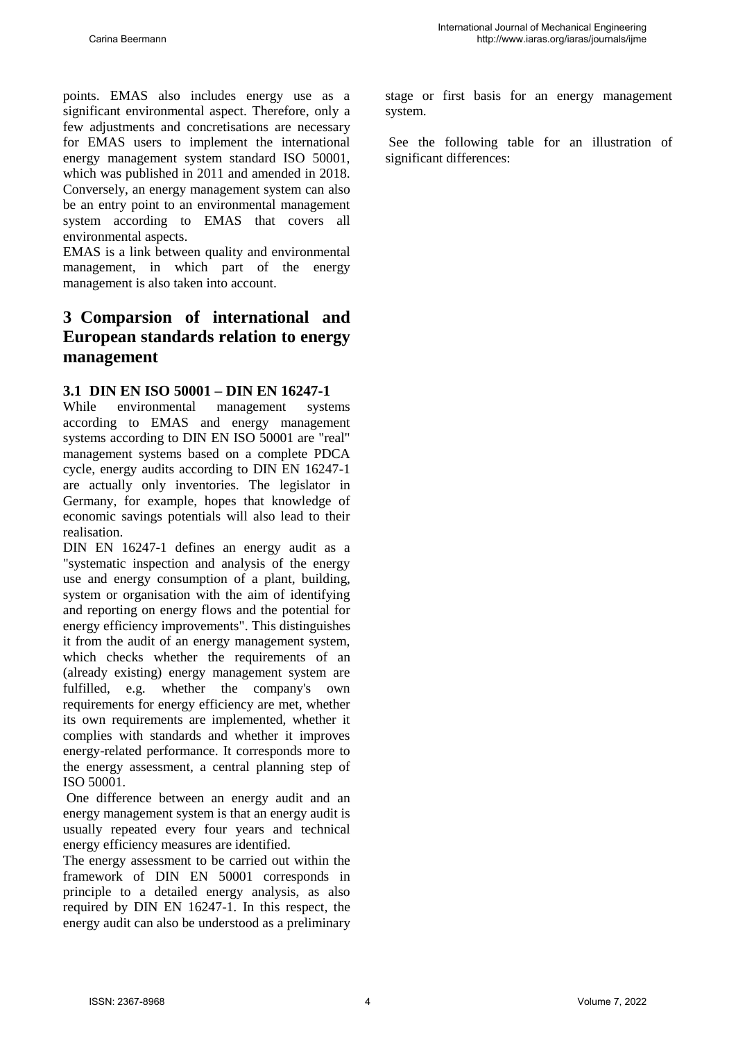points. EMAS also includes energy use as a significant environmental aspect. Therefore, only a few adjustments and concretisations are necessary for EMAS users to implement the international energy management system standard ISO 50001, which was published in 2011 and amended in 2018. Conversely, an energy management system can also be an entry point to an environmental management system according to EMAS that covers all environmental aspects.

EMAS is a link between quality and environmental management, in which part of the energy management is also taken into account.

# **3 Comparsion of international and European standards relation to energy management**

### **3.1 DIN EN ISO 50001 – DIN EN 16247-1**

While environmental management systems according to EMAS and energy management systems according to DIN EN ISO 50001 are "real" management systems based on a complete PDCA cycle, energy audits according to DIN EN 16247-1 are actually only inventories. The legislator in Germany, for example, hopes that knowledge of economic savings potentials will also lead to their realisation.

DIN EN 16247-1 defines an energy audit as a "systematic inspection and analysis of the energy use and energy consumption of a plant, building, system or organisation with the aim of identifying and reporting on energy flows and the potential for energy efficiency improvements". This distinguishes it from the audit of an energy management system, which checks whether the requirements of an (already existing) energy management system are fulfilled, e.g. whether the company's own requirements for energy efficiency are met, whether its own requirements are implemented, whether it complies with standards and whether it improves energy-related performance. It corresponds more to the energy assessment, a central planning step of ISO 50001.

One difference between an energy audit and an energy management system is that an energy audit is usually repeated every four years and technical energy efficiency measures are identified.

The energy assessment to be carried out within the framework of DIN EN 50001 corresponds in principle to a detailed energy analysis, as also required by DIN EN 16247-1. In this respect, the energy audit can also be understood as a preliminary stage or first basis for an energy management system.

See the following table for an illustration of significant differences: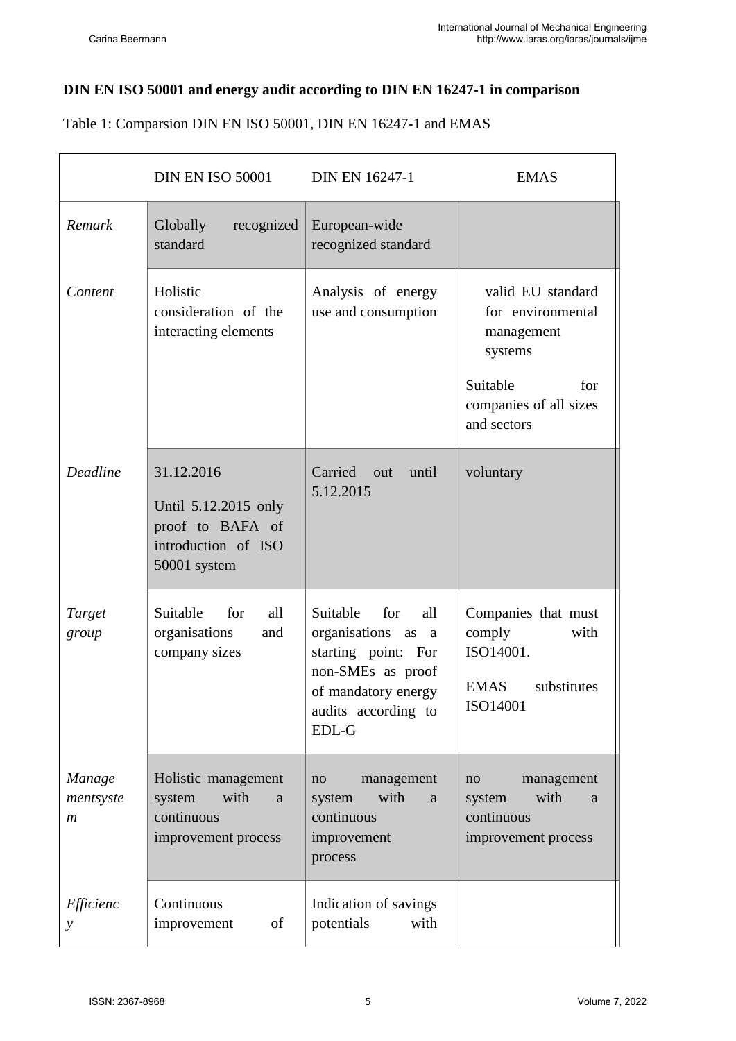$\mathsf{r}$ 

J.

# **DIN EN ISO 50001 and energy audit according to DIN EN 16247-1 in comparison**

Table 1: Comparsion DIN EN ISO 50001, DIN EN 16247-1 and EMAS

|                                         | <b>DIN EN ISO 50001</b>                                                                       | <b>DIN EN 16247-1</b>                                                                                                                                         | <b>EMAS</b>                                                                                                                 |
|-----------------------------------------|-----------------------------------------------------------------------------------------------|---------------------------------------------------------------------------------------------------------------------------------------------------------------|-----------------------------------------------------------------------------------------------------------------------------|
| Remark                                  | recognized<br>Globally<br>standard                                                            | European-wide<br>recognized standard                                                                                                                          |                                                                                                                             |
| Content                                 | Holistic<br>consideration of the<br>interacting elements                                      | Analysis of energy<br>use and consumption                                                                                                                     | valid EU standard<br>for environmental<br>management<br>systems<br>Suitable<br>for<br>companies of all sizes<br>and sectors |
| Deadline                                | 31.12.2016<br>Until 5.12.2015 only<br>proof to BAFA of<br>introduction of ISO<br>50001 system | Carried<br>until<br>out<br>5.12.2015                                                                                                                          | voluntary                                                                                                                   |
| Target<br>group                         | Suitable<br>for<br>all<br>organisations<br>and<br>company sizes                               | Suitable<br>for<br>all<br>organisations as<br><sub>a</sub><br>starting point: For<br>non-SMEs as proof<br>of mandatory energy<br>audits according to<br>EDL-G | Companies that must<br>comply<br>with<br>ISO14001.<br>substitutes<br><b>EMAS</b><br>ISO14001                                |
| Manage<br>mentsyste<br>$\boldsymbol{m}$ | Holistic management<br>with<br>system<br>a<br>continuous<br>improvement process               | management<br>no<br>with<br>system<br>a<br>continuous<br>improvement<br>process                                                                               | management<br>no<br>with<br>system<br>a<br>continuous<br>improvement process                                                |
| Efficienc<br>y                          | Continuous<br>improvement<br>of                                                               | Indication of savings<br>potentials<br>with                                                                                                                   |                                                                                                                             |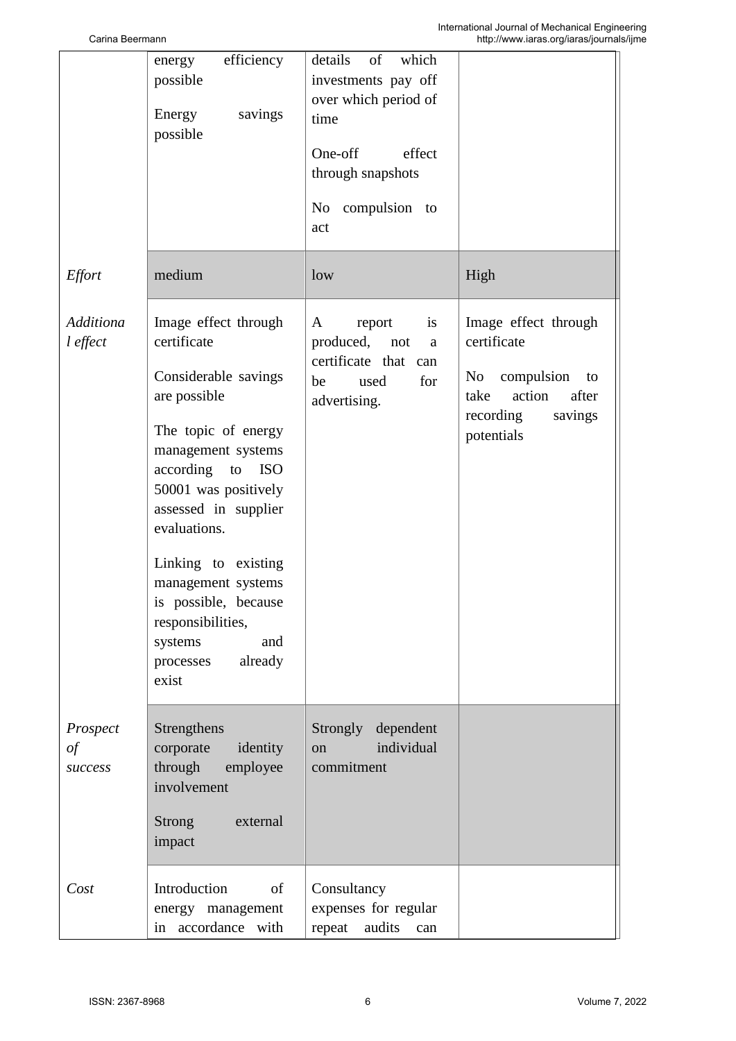|                           | efficiency<br>energy<br>possible<br>savings<br>Energy<br>possible                                                                                                                                                                                                                                                                                                      | details<br>of<br>which<br>investments pay off<br>over which period of<br>time<br>One-off<br>effect<br>through snapshots<br>No compulsion to<br>act |                                                                                                                             |
|---------------------------|------------------------------------------------------------------------------------------------------------------------------------------------------------------------------------------------------------------------------------------------------------------------------------------------------------------------------------------------------------------------|----------------------------------------------------------------------------------------------------------------------------------------------------|-----------------------------------------------------------------------------------------------------------------------------|
| Effort                    | medium                                                                                                                                                                                                                                                                                                                                                                 | low                                                                                                                                                | High                                                                                                                        |
| Additiona<br>l effect     | Image effect through<br>certificate<br>Considerable savings<br>are possible<br>The topic of energy<br>management systems<br>according<br>to<br><b>ISO</b><br>50001 was positively<br>assessed in supplier<br>evaluations.<br>Linking to existing<br>management systems<br>is possible, because<br>responsibilities,<br>and<br>systems<br>already<br>processes<br>exist | A<br>report<br>is<br>produced, not<br>a<br>certificate that<br>can<br>used<br>for<br>be<br>advertising.                                            | Image effect through<br>certificate<br>No<br>compulsion to<br>action<br>after<br>take<br>recording<br>savings<br>potentials |
| Prospect<br>of<br>success | Strengthens<br>corporate<br>identity<br>through<br>employee<br>involvement<br><b>Strong</b><br>external<br>impact                                                                                                                                                                                                                                                      | Strongly<br>dependent<br>individual<br>on<br>commitment                                                                                            |                                                                                                                             |
| Cost                      | Introduction<br>of<br>energy management<br>in accordance with                                                                                                                                                                                                                                                                                                          | Consultancy<br>expenses for regular<br>audits<br>repeat<br>can                                                                                     |                                                                                                                             |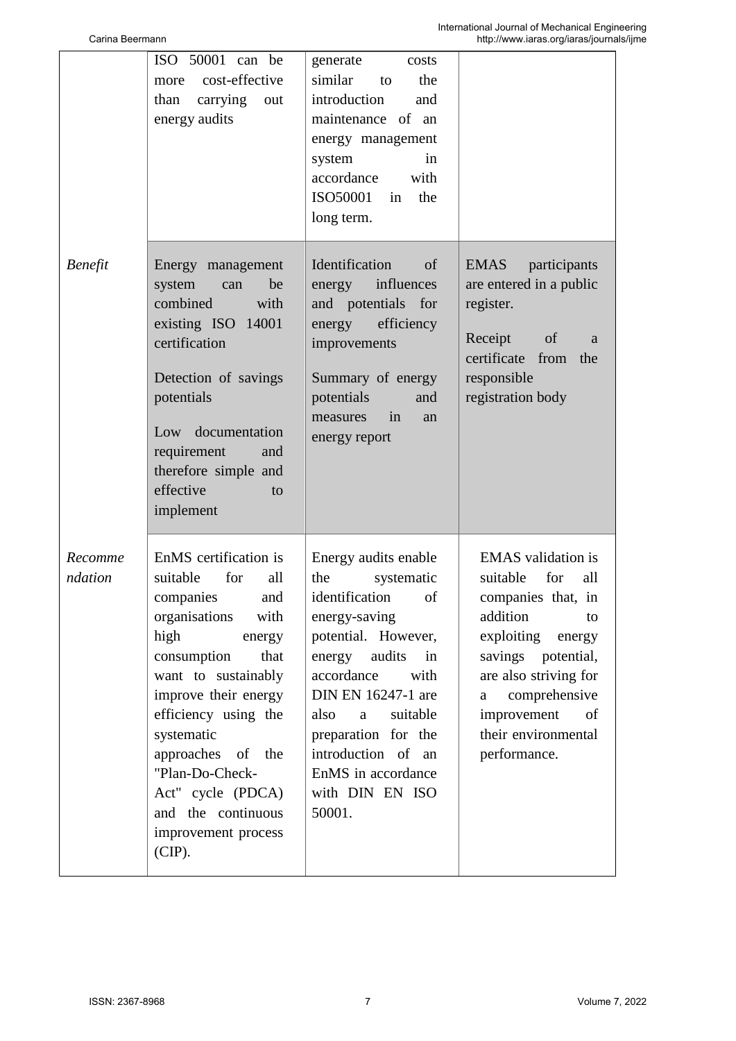|                    | ISO 50001 can be<br>cost-effective<br>more<br>carrying<br>than<br>out<br>energy audits                                                                                                                                                                                                                                                         | generate<br>costs<br>similar<br>the<br>to<br>introduction<br>and<br>maintenance of an<br>energy management<br>system<br>in<br>accordance<br>with<br>ISO50001<br>the<br>in<br>long term.                                                                                                            |                                                                                                                                                                                                                                                   |
|--------------------|------------------------------------------------------------------------------------------------------------------------------------------------------------------------------------------------------------------------------------------------------------------------------------------------------------------------------------------------|----------------------------------------------------------------------------------------------------------------------------------------------------------------------------------------------------------------------------------------------------------------------------------------------------|---------------------------------------------------------------------------------------------------------------------------------------------------------------------------------------------------------------------------------------------------|
| <b>Benefit</b>     | Energy management<br>system<br>be<br>can<br>combined<br>with<br>existing ISO 14001<br>certification<br>Detection of savings<br>potentials<br>Low documentation<br>requirement<br>and<br>therefore simple and<br>effective<br>to<br>implement                                                                                                   | Identification<br>of<br>influences<br>energy<br>and potentials for<br>energy efficiency<br>improvements<br>Summary of energy<br>potentials<br>and<br>measures<br>in<br>an<br>energy report                                                                                                         | participants<br><b>EMAS</b><br>are entered in a public<br>register.<br>Receipt<br>of<br>a<br>certificate from<br>the<br>responsible<br>registration body                                                                                          |
| Recomme<br>ndation | EnMS certification is<br>suitable<br>for<br>all<br>companies<br>and<br>organisations with<br>high<br>energy<br>consumption<br>that<br>want to sustainably<br>improve their energy<br>efficiency using the<br>systematic<br>approaches of the<br>"Plan-Do-Check-<br>Act" cycle (PDCA)<br>and the continuous<br>improvement process<br>$(CIP)$ . | Energy audits enable<br>the<br>systematic<br>identification<br>of<br>energy-saving<br>potential. However,<br>energy audits in<br>accordance<br>with<br>DIN EN 16247-1 are<br>also<br>suitable<br>a<br>preparation for the<br>introduction of an<br>EnMS in accordance<br>with DIN EN ISO<br>50001. | <b>EMAS</b> validation is<br>for<br>suitable<br>all<br>companies that, in<br>addition<br>to<br>exploiting energy<br>savings potential,<br>are also striving for<br>comprehensive<br>a<br>improvement<br>of<br>their environmental<br>performance. |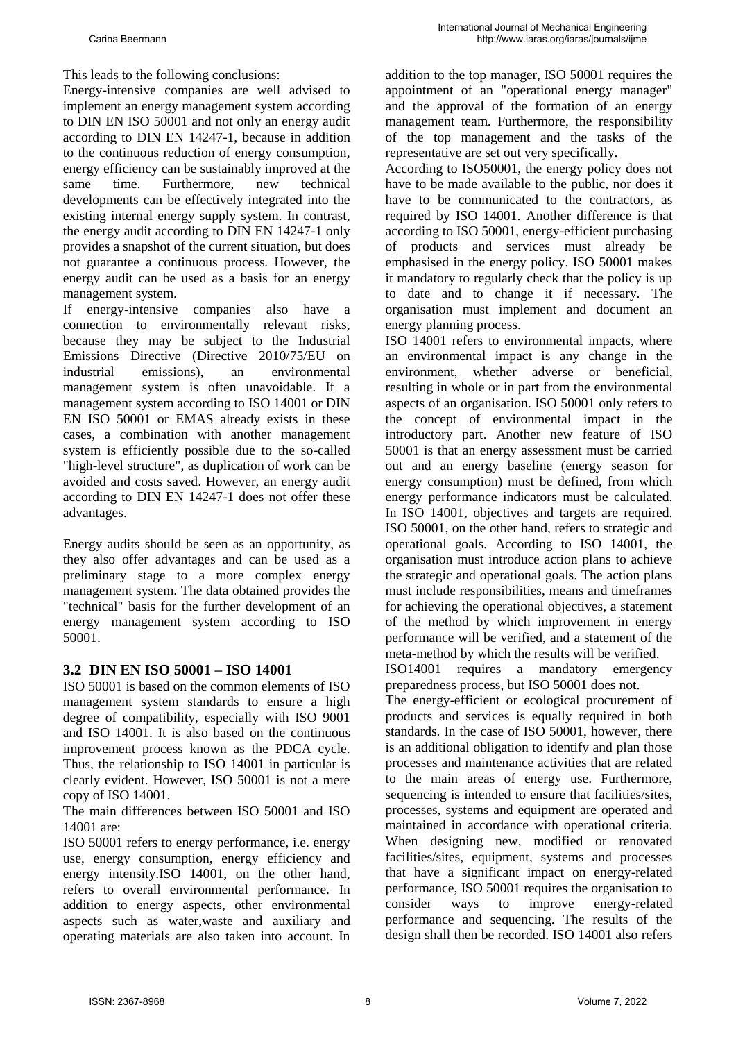This leads to the following conclusions:

Energy-intensive companies are well advised to implement an energy management system according to DIN EN ISO 50001 and not only an energy audit according to DIN EN 14247-1, because in addition to the continuous reduction of energy consumption, energy efficiency can be sustainably improved at the same time. Furthermore, new technical developments can be effectively integrated into the existing internal energy supply system. In contrast, the energy audit according to DIN EN 14247-1 only provides a snapshot of the current situation, but does not guarantee a continuous process. However, the energy audit can be used as a basis for an energy management system.

If energy-intensive companies also have a connection to environmentally relevant risks, because they may be subject to the Industrial Emissions Directive (Directive 2010/75/EU on industrial emissions), an environmental management system is often unavoidable. If a management system according to ISO 14001 or DIN EN ISO 50001 or EMAS already exists in these cases, a combination with another management system is efficiently possible due to the so-called "high-level structure", as duplication of work can be avoided and costs saved. However, an energy audit according to DIN EN 14247-1 does not offer these advantages.

Energy audits should be seen as an opportunity, as they also offer advantages and can be used as a preliminary stage to a more complex energy management system. The data obtained provides the "technical" basis for the further development of an energy management system according to ISO 50001.

#### **3.2 DIN EN ISO 50001 – ISO 14001**

ISO 50001 is based on the common elements of ISO management system standards to ensure a high degree of compatibility, especially with ISO 9001 and ISO 14001. It is also based on the continuous improvement process known as the PDCA cycle. Thus, the relationship to ISO 14001 in particular is clearly evident. However, ISO 50001 is not a mere copy of ISO 14001.

The main differences between ISO 50001 and ISO 14001 are:

ISO 50001 refers to energy performance, i.e. energy use, energy consumption, energy efficiency and energy intensity.ISO 14001, on the other hand, refers to overall environmental performance. In addition to energy aspects, other environmental aspects such as water,waste and auxiliary and operating materials are also taken into account. In addition to the top manager, ISO 50001 requires the appointment of an "operational energy manager" and the approval of the formation of an energy management team. Furthermore, the responsibility of the top management and the tasks of the representative are set out very specifically.

According to ISO50001, the energy policy does not have to be made available to the public, nor does it have to be communicated to the contractors, as required by ISO 14001. Another difference is that according to ISO 50001, energy-efficient purchasing of products and services must already be emphasised in the energy policy. ISO 50001 makes it mandatory to regularly check that the policy is up to date and to change it if necessary. The organisation must implement and document an energy planning process.

ISO 14001 refers to environmental impacts, where an environmental impact is any change in the environment, whether adverse or beneficial, resulting in whole or in part from the environmental aspects of an organisation. ISO 50001 only refers to the concept of environmental impact in the introductory part. Another new feature of ISO 50001 is that an energy assessment must be carried out and an energy baseline (energy season for energy consumption) must be defined, from which energy performance indicators must be calculated. In ISO 14001, objectives and targets are required. ISO 50001, on the other hand, refers to strategic and operational goals. According to ISO 14001, the organisation must introduce action plans to achieve the strategic and operational goals. The action plans must include responsibilities, means and timeframes for achieving the operational objectives, a statement of the method by which improvement in energy performance will be verified, and a statement of the meta-method by which the results will be verified.

ISO14001 requires a mandatory emergency preparedness process, but ISO 50001 does not.

The energy-efficient or ecological procurement of products and services is equally required in both standards. In the case of ISO 50001, however, there is an additional obligation to identify and plan those processes and maintenance activities that are related to the main areas of energy use. Furthermore, sequencing is intended to ensure that facilities/sites, processes, systems and equipment are operated and maintained in accordance with operational criteria. When designing new, modified or renovated facilities/sites, equipment, systems and processes that have a significant impact on energy-related performance, ISO 50001 requires the organisation to consider ways to improve energy-related performance and sequencing. The results of the design shall then be recorded. ISO 14001 also refers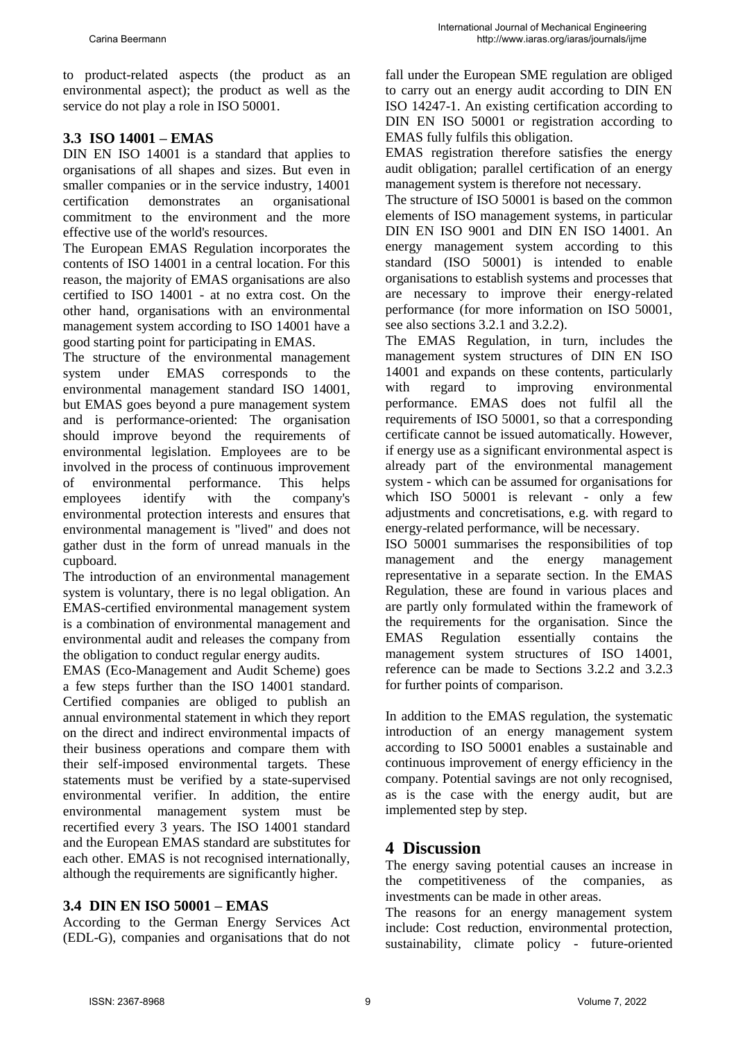to product-related aspects (the product as an environmental aspect); the product as well as the service do not play a role in ISO 50001.

### **3.3 ISO 14001 – EMAS**

DIN EN ISO 14001 is a standard that applies to organisations of all shapes and sizes. But even in smaller companies or in the service industry, 14001 certification demonstrates an organisational commitment to the environment and the more effective use of the world's resources.

The European EMAS Regulation incorporates the contents of ISO 14001 in a central location. For this reason, the majority of EMAS organisations are also certified to ISO 14001 - at no extra cost. On the other hand, organisations with an environmental management system according to ISO 14001 have a good starting point for participating in EMAS.

The structure of the environmental management system under EMAS corresponds to the environmental management standard ISO 14001, but EMAS goes beyond a pure management system and is performance-oriented: The organisation should improve beyond the requirements of environmental legislation. Employees are to be involved in the process of continuous improvement of environmental performance. This helps employees identify with the company's environmental protection interests and ensures that environmental management is "lived" and does not gather dust in the form of unread manuals in the cupboard.

The introduction of an environmental management system is voluntary, there is no legal obligation. An EMAS-certified environmental management system is a combination of environmental management and environmental audit and releases the company from the obligation to conduct regular energy audits.

EMAS (Eco-Management and Audit Scheme) goes a few steps further than the ISO 14001 standard. Certified companies are obliged to publish an annual environmental statement in which they report on the direct and indirect environmental impacts of their business operations and compare them with their self-imposed environmental targets. These statements must be verified by a state-supervised environmental verifier. In addition, the entire environmental management system must be recertified every 3 years. The ISO 14001 standard and the European EMAS standard are substitutes for each other. EMAS is not recognised internationally, although the requirements are significantly higher.

#### **3.4 DIN EN ISO 50001 – EMAS**

According to the German Energy Services Act (EDL-G), companies and organisations that do not fall under the European SME regulation are obliged to carry out an energy audit according to DIN EN ISO 14247-1. An existing certification according to DIN EN ISO 50001 or registration according to EMAS fully fulfils this obligation.

EMAS registration therefore satisfies the energy audit obligation; parallel certification of an energy management system is therefore not necessary.

The structure of ISO 50001 is based on the common elements of ISO management systems, in particular DIN EN ISO 9001 and DIN EN ISO 14001. An energy management system according to this standard (ISO 50001) is intended to enable organisations to establish systems and processes that are necessary to improve their energy-related performance (for more information on ISO 50001, see also sections 3.2.1 and 3.2.2).

The EMAS Regulation, in turn, includes the management system structures of DIN EN ISO 14001 and expands on these contents, particularly with regard to improving environmental performance. EMAS does not fulfil all the requirements of ISO 50001, so that a corresponding certificate cannot be issued automatically. However, if energy use as a significant environmental aspect is already part of the environmental management system - which can be assumed for organisations for which ISO 50001 is relevant - only a few adjustments and concretisations, e.g. with regard to energy-related performance, will be necessary.

ISO 50001 summarises the responsibilities of top management and the energy management representative in a separate section. In the EMAS Regulation, these are found in various places and are partly only formulated within the framework of the requirements for the organisation. Since the EMAS Regulation essentially contains the management system structures of ISO 14001, reference can be made to Sections 3.2.2 and 3.2.3 for further points of comparison.

In addition to the EMAS regulation, the systematic introduction of an energy management system according to ISO 50001 enables a sustainable and continuous improvement of energy efficiency in the company. Potential savings are not only recognised, as is the case with the energy audit, but are implemented step by step.

# **4 Discussion**

The energy saving potential causes an increase in the competitiveness of the companies, investments can be made in other areas.

The reasons for an energy management system include: Cost reduction, environmental protection, sustainability, climate policy - future-oriented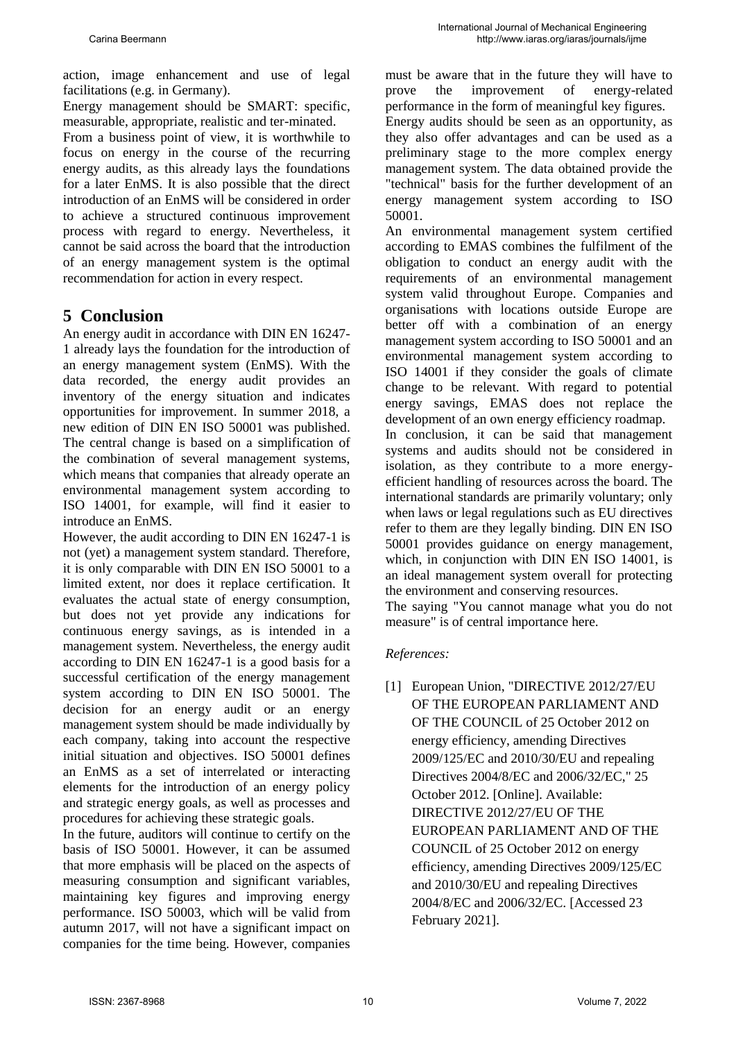action, image enhancement and use of legal facilitations (e.g. in Germany).

Energy management should be SMART: specific, measurable, appropriate, realistic and ter-minated.

From a business point of view, it is worthwhile to focus on energy in the course of the recurring energy audits, as this already lays the foundations for a later EnMS. It is also possible that the direct introduction of an EnMS will be considered in order to achieve a structured continuous improvement process with regard to energy. Nevertheless, it cannot be said across the board that the introduction of an energy management system is the optimal recommendation for action in every respect.

# **5 Conclusion**

An energy audit in accordance with DIN EN 16247- 1 already lays the foundation for the introduction of an energy management system (EnMS). With the data recorded, the energy audit provides an inventory of the energy situation and indicates opportunities for improvement. In summer 2018, a new edition of DIN EN ISO 50001 was published. The central change is based on a simplification of the combination of several management systems, which means that companies that already operate an environmental management system according to ISO 14001, for example, will find it easier to introduce an EnMS.

However, the audit according to DIN EN 16247-1 is not (yet) a management system standard. Therefore, it is only comparable with DIN EN ISO 50001 to a limited extent, nor does it replace certification. It evaluates the actual state of energy consumption, but does not yet provide any indications for continuous energy savings, as is intended in a management system. Nevertheless, the energy audit according to DIN EN 16247-1 is a good basis for a successful certification of the energy management system according to DIN EN ISO 50001. The decision for an energy audit or an energy management system should be made individually by each company, taking into account the respective initial situation and objectives. ISO 50001 defines an EnMS as a set of interrelated or interacting elements for the introduction of an energy policy and strategic energy goals, as well as processes and procedures for achieving these strategic goals.

In the future, auditors will continue to certify on the basis of ISO 50001. However, it can be assumed that more emphasis will be placed on the aspects of measuring consumption and significant variables, maintaining key figures and improving energy performance. ISO 50003, which will be valid from autumn 2017, will not have a significant impact on companies for the time being. However, companies must be aware that in the future they will have to prove the improvement of energy-related performance in the form of meaningful key figures.

Energy audits should be seen as an opportunity, as they also offer advantages and can be used as a preliminary stage to the more complex energy management system. The data obtained provide the "technical" basis for the further development of an energy management system according to ISO 50001.

An environmental management system certified according to EMAS combines the fulfilment of the obligation to conduct an energy audit with the requirements of an environmental management system valid throughout Europe. Companies and organisations with locations outside Europe are better off with a combination of an energy management system according to ISO 50001 and an environmental management system according to ISO 14001 if they consider the goals of climate change to be relevant. With regard to potential energy savings, EMAS does not replace the development of an own energy efficiency roadmap. In conclusion, it can be said that management systems and audits should not be considered in isolation, as they contribute to a more energyefficient handling of resources across the board. The international standards are primarily voluntary; only when laws or legal regulations such as EU directives refer to them are they legally binding. DIN EN ISO 50001 provides guidance on energy management, which, in conjunction with DIN EN ISO 14001, is an ideal management system overall for protecting the environment and conserving resources.

The saying "You cannot manage what you do not measure" is of central importance here.

#### *References:*

[1] European Union, "DIRECTIVE 2012/27/EU OF THE EUROPEAN PARLIAMENT AND OF THE COUNCIL of 25 October 2012 on energy efficiency, amending Directives 2009/125/EC and 2010/30/EU and repealing Directives 2004/8/EC and 2006/32/EC," 25 October 2012. [Online]. Available: DIRECTIVE 2012/27/EU OF THE EUROPEAN PARLIAMENT AND OF THE COUNCIL of 25 October 2012 on energy efficiency, amending Directives 2009/125/EC and 2010/30/EU and repealing Directives 2004/8/EC and 2006/32/EC. [Accessed 23 February 2021].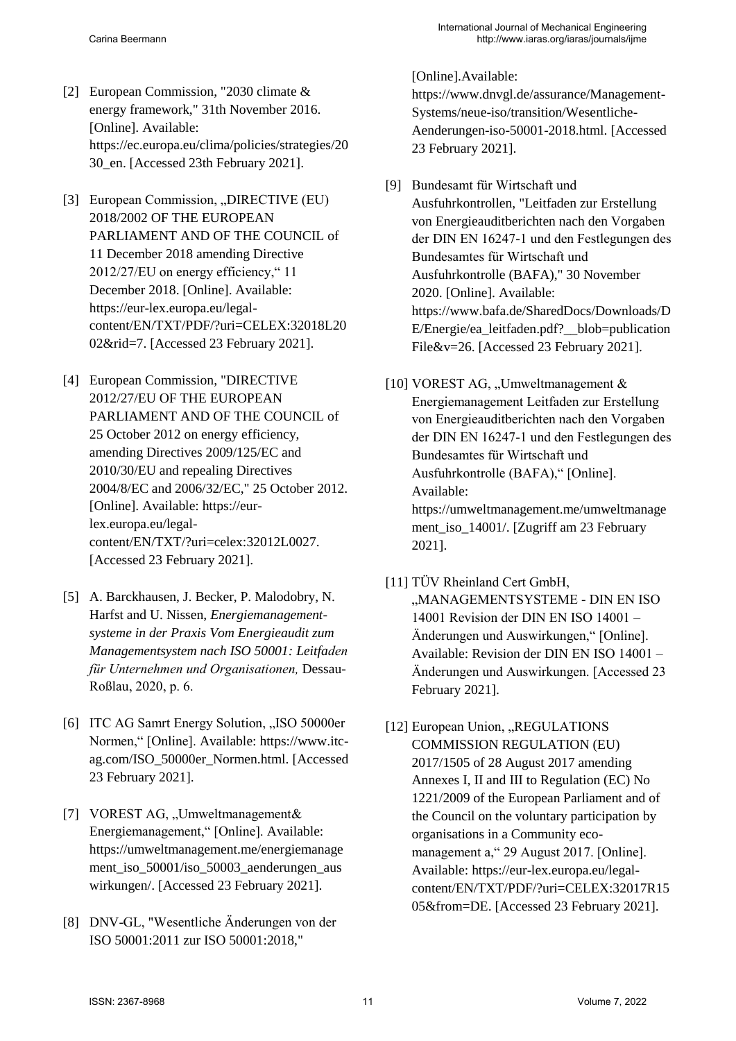- [2] European Commission, "2030 climate & energy framework," 31th November 2016. [Online]. Available: https://ec.europa.eu/clima/policies/strategies/20 30\_en. [Accessed 23th February 2021].
- [3] European Commission, "DIRECTIVE (EU) 2018/2002 OF THE EUROPEAN PARLIAMENT AND OF THE COUNCIL of 11 December 2018 amending Directive 2012/27/EU on energy efficiency," 11 December 2018. [Online]. Available: https://eur-lex.europa.eu/legalcontent/EN/TXT/PDF/?uri=CELEX:32018L20 02&rid=7. [Accessed 23 February 2021].
- [4] European Commission, "DIRECTIVE 2012/27/EU OF THE EUROPEAN PARLIAMENT AND OF THE COUNCIL of 25 October 2012 on energy efficiency, amending Directives 2009/125/EC and 2010/30/EU and repealing Directives 2004/8/EC and 2006/32/EC," 25 October 2012. [Online]. Available: https://eurlex.europa.eu/legalcontent/EN/TXT/?uri=celex:32012L0027. [Accessed 23 February 2021].
- [5] A. Barckhausen, J. Becker, P. Malodobry, N. Harfst and U. Nissen, *Energiemanagementsysteme in der Praxis Vom Energieaudit zum Managementsystem nach ISO 50001: Leitfaden für Unternehmen und Organisationen,* Dessau-Roßlau, 2020, p. 6.
- [6] ITC AG Samrt Energy Solution, "ISO 50000er Normen," [Online]. Available: https://www.itcag.com/ISO\_50000er\_Normen.html. [Accessed 23 February 2021].
- [7] VOREST AG, "Umweltmanagement& Energiemanagement," [Online]. Available: https://umweltmanagement.me/energiemanage ment\_iso\_50001/iso\_50003\_aenderungen\_aus wirkungen/. [Accessed 23 February 2021].
- [8] DNV-GL, "Wesentliche Änderungen von der ISO 50001:2011 zur ISO 50001:2018,"

[Online].Available:

https://www.dnvgl.de/assurance/Management-Systems/neue-iso/transition/Wesentliche-Aenderungen-iso-50001-2018.html. [Accessed 23 February 2021].

- [9] Bundesamt für Wirtschaft und Ausfuhrkontrollen, "Leitfaden zur Erstellung von Energieauditberichten nach den Vorgaben der DIN EN 16247-1 und den Festlegungen des Bundesamtes für Wirtschaft und Ausfuhrkontrolle (BAFA)," 30 November 2020. [Online]. Available: https://www.bafa.de/SharedDocs/Downloads/D E/Energie/ea\_leitfaden.pdf?\_\_blob=publication File&v=26. [Accessed 23 February 2021].
- [10] VOREST AG, "Umweltmanagement  $\&$ Energiemanagement Leitfaden zur Erstellung von Energieauditberichten nach den Vorgaben der DIN EN 16247-1 und den Festlegungen des Bundesamtes für Wirtschaft und Ausfuhrkontrolle (BAFA)," [Online]. Available: https://umweltmanagement.me/umweltmanage ment iso 14001/. [Zugriff am 23 February 2021].
- [11] TÜV Rheinland Cert GmbH, "MANAGEMENTSYSTEME - DIN EN ISO 14001 Revision der DIN EN ISO 14001 – Änderungen und Auswirkungen," [Online]. Available: Revision der DIN EN ISO 14001 – Änderungen und Auswirkungen. [Accessed 23 February 2021].
- [12] European Union, ..REGULATIONS COMMISSION REGULATION (EU) 2017/1505 of 28 August 2017 amending Annexes I, II and III to Regulation (EC) No 1221/2009 of the European Parliament and of the Council on the voluntary participation by organisations in a Community ecomanagement a," 29 August 2017. [Online]. Available: https://eur-lex.europa.eu/legalcontent/EN/TXT/PDF/?uri=CELEX:32017R15 05&from=DE. [Accessed 23 February 2021].